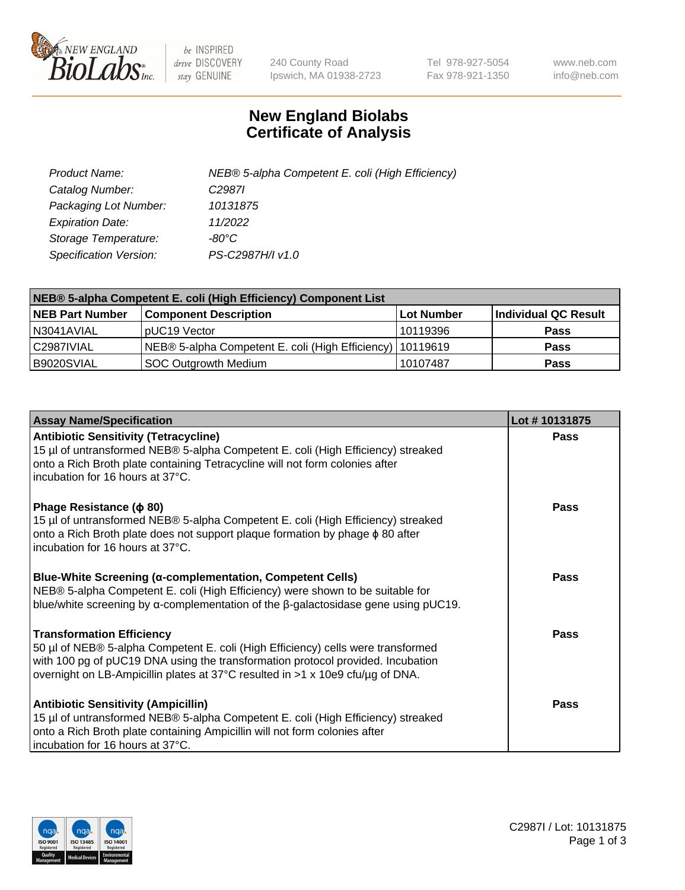

 $be$  INSPIRED drive DISCOVERY stay GENUINE

240 County Road Ipswich, MA 01938-2723 Tel 978-927-5054 Fax 978-921-1350 www.neb.com info@neb.com

## **New England Biolabs Certificate of Analysis**

| Product Name:           | NEB® 5-alpha Competent E. coli (High Efficiency) |
|-------------------------|--------------------------------------------------|
| Catalog Number:         | C <sub>2987</sub>                                |
| Packaging Lot Number:   | 10131875                                         |
| <b>Expiration Date:</b> | 11/2022                                          |
| Storage Temperature:    | -80°C.                                           |
| Specification Version:  | PS-C2987H/I v1.0                                 |

| NEB® 5-alpha Competent E. coli (High Efficiency) Component List |                                                             |            |                      |  |
|-----------------------------------------------------------------|-------------------------------------------------------------|------------|----------------------|--|
| <b>NEB Part Number</b>                                          | <b>Component Description</b>                                | Lot Number | Individual QC Result |  |
| N3041AVIAL                                                      | pUC19 Vector                                                | 10119396   | <b>Pass</b>          |  |
| C2987IVIAL                                                      | NEB® 5-alpha Competent E. coli (High Efficiency)   10119619 |            | <b>Pass</b>          |  |
| B9020SVIAL                                                      | SOC Outgrowth Medium                                        | 10107487   | <b>Pass</b>          |  |

| <b>Assay Name/Specification</b>                                                                                                                                                                                                                                                           | Lot #10131875 |
|-------------------------------------------------------------------------------------------------------------------------------------------------------------------------------------------------------------------------------------------------------------------------------------------|---------------|
| <b>Antibiotic Sensitivity (Tetracycline)</b><br>15 µl of untransformed NEB® 5-alpha Competent E. coli (High Efficiency) streaked<br>onto a Rich Broth plate containing Tetracycline will not form colonies after<br>incubation for 16 hours at 37°C.                                      | <b>Pass</b>   |
| Phage Resistance (φ 80)<br>15 µl of untransformed NEB® 5-alpha Competent E. coli (High Efficiency) streaked<br>onto a Rich Broth plate does not support plaque formation by phage $\phi$ 80 after<br>incubation for 16 hours at 37°C.                                                     | Pass          |
| Blue-White Screening (α-complementation, Competent Cells)<br>NEB® 5-alpha Competent E. coli (High Efficiency) were shown to be suitable for<br>blue/white screening by $\alpha$ -complementation of the $\beta$ -galactosidase gene using pUC19.                                          | Pass          |
| <b>Transformation Efficiency</b><br>50 µl of NEB® 5-alpha Competent E. coli (High Efficiency) cells were transformed<br>with 100 pg of pUC19 DNA using the transformation protocol provided. Incubation<br>overnight on LB-Ampicillin plates at 37°C resulted in >1 x 10e9 cfu/µg of DNA. | Pass          |
| <b>Antibiotic Sensitivity (Ampicillin)</b><br>15 µl of untransformed NEB® 5-alpha Competent E. coli (High Efficiency) streaked<br>onto a Rich Broth plate containing Ampicillin will not form colonies after<br>incubation for 16 hours at 37°C.                                          | Pass          |

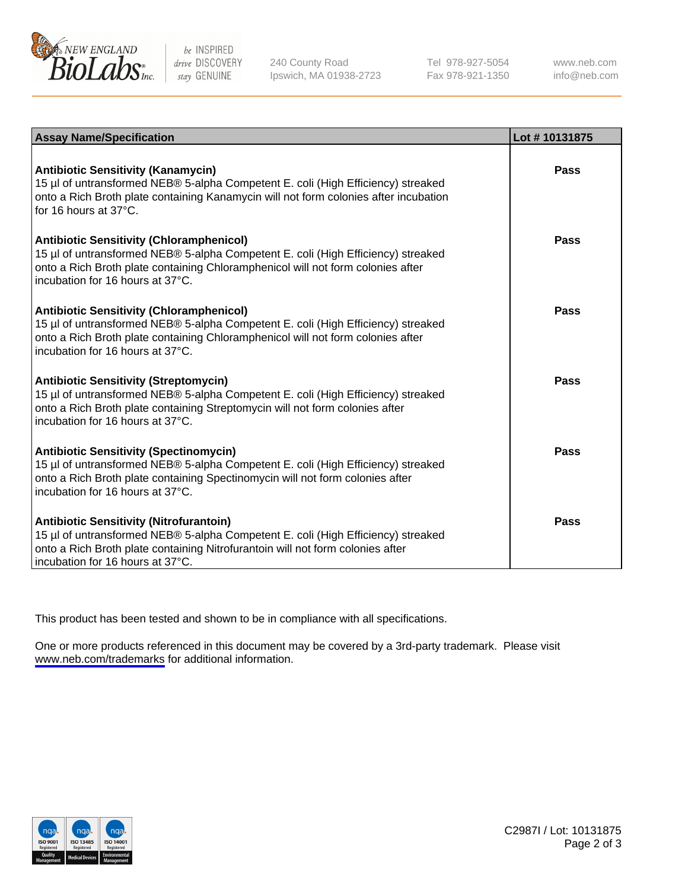

be INSPIRED drive DISCOVERY stay GENUINE

240 County Road Ipswich, MA 01938-2723 Tel 978-927-5054 Fax 978-921-1350

www.neb.com info@neb.com

| <b>Assay Name/Specification</b>                                                                                                                                                                                                                            | Lot #10131875 |
|------------------------------------------------------------------------------------------------------------------------------------------------------------------------------------------------------------------------------------------------------------|---------------|
| <b>Antibiotic Sensitivity (Kanamycin)</b><br>15 µl of untransformed NEB® 5-alpha Competent E. coli (High Efficiency) streaked<br>onto a Rich Broth plate containing Kanamycin will not form colonies after incubation<br>for 16 hours at $37^{\circ}$ C.   | Pass          |
| <b>Antibiotic Sensitivity (Chloramphenicol)</b><br>15 µl of untransformed NEB® 5-alpha Competent E. coli (High Efficiency) streaked<br>onto a Rich Broth plate containing Chloramphenicol will not form colonies after<br>incubation for 16 hours at 37°C. | Pass          |
| <b>Antibiotic Sensitivity (Chloramphenicol)</b><br>15 µl of untransformed NEB® 5-alpha Competent E. coli (High Efficiency) streaked<br>onto a Rich Broth plate containing Chloramphenicol will not form colonies after<br>incubation for 16 hours at 37°C. | Pass          |
| <b>Antibiotic Sensitivity (Streptomycin)</b><br>15 µl of untransformed NEB® 5-alpha Competent E. coli (High Efficiency) streaked<br>onto a Rich Broth plate containing Streptomycin will not form colonies after<br>incubation for 16 hours at 37°C.       | Pass          |
| <b>Antibiotic Sensitivity (Spectinomycin)</b><br>15 µl of untransformed NEB® 5-alpha Competent E. coli (High Efficiency) streaked<br>onto a Rich Broth plate containing Spectinomycin will not form colonies after<br>incubation for 16 hours at 37°C.     | Pass          |
| <b>Antibiotic Sensitivity (Nitrofurantoin)</b><br>15 µl of untransformed NEB® 5-alpha Competent E. coli (High Efficiency) streaked<br>onto a Rich Broth plate containing Nitrofurantoin will not form colonies after<br>incubation for 16 hours at 37°C.   | Pass          |

This product has been tested and shown to be in compliance with all specifications.

One or more products referenced in this document may be covered by a 3rd-party trademark. Please visit <www.neb.com/trademarks>for additional information.